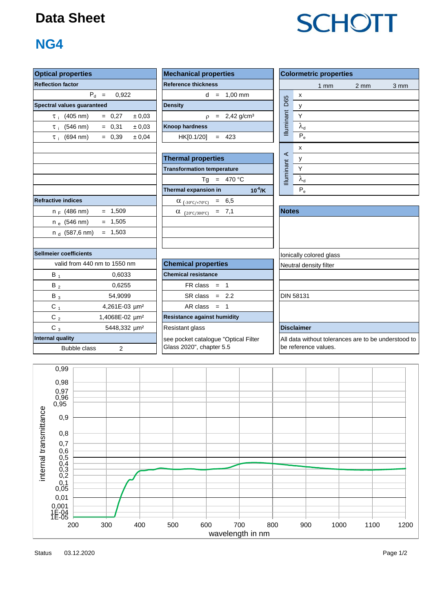## **Data Sheet**

# **SCHOTT**

## **NG4**

| <b>Optical properties</b>                                        | <b>Mechanical properties</b>                                     | <b>Colormetric properties</b>                                            |  |  |  |  |  |  |  |
|------------------------------------------------------------------|------------------------------------------------------------------|--------------------------------------------------------------------------|--|--|--|--|--|--|--|
| <b>Reflection factor</b>                                         | <b>Reference thickness</b>                                       | 1 <sub>mm</sub><br>$2 \, \text{mm}$<br>3 mm                              |  |  |  |  |  |  |  |
| $P_d =$<br>0.922                                                 | $d = 1.00$ mm                                                    | X                                                                        |  |  |  |  |  |  |  |
| Spectral values guaranteed                                       | <b>Density</b>                                                   | D65<br>У                                                                 |  |  |  |  |  |  |  |
| $= 0,27$<br>$\pm 0.03$<br>$\tau_i$ (405 nm)                      | $= 2,42$ g/cm <sup>3</sup><br>$\Omega$                           | Illuminant<br>Y                                                          |  |  |  |  |  |  |  |
| $\tau$ (546 nm)<br>$= 0,31$<br>± 0.03                            | <b>Knoop hardness</b>                                            | $\lambda_{\rm d}$                                                        |  |  |  |  |  |  |  |
| $= 0,39$<br>$\tau_i$ (694 nm)<br>± 0.04                          | $= 423$<br>HK[0.1/20]                                            | $P_e$                                                                    |  |  |  |  |  |  |  |
|                                                                  | <b>Thermal properties</b>                                        | x<br>$\prec$<br>у                                                        |  |  |  |  |  |  |  |
|                                                                  | <b>Transformation temperature</b>                                | Illuminant<br>Υ                                                          |  |  |  |  |  |  |  |
|                                                                  | $= 470 °C$<br>Ta                                                 | $\lambda_{d}$                                                            |  |  |  |  |  |  |  |
|                                                                  | $10^{-6}$ /K<br>Thermal expansion in                             | $P_e$                                                                    |  |  |  |  |  |  |  |
| <b>Refractive indices</b>                                        | $= 6,5$<br>$\alpha$ (-30°C/+70°C)                                |                                                                          |  |  |  |  |  |  |  |
| $= 1,509$<br>$n_F$ (486 nm)                                      | $= 7,1$<br>$\alpha$ (20°C/300°C)                                 | <b>Notes</b>                                                             |  |  |  |  |  |  |  |
| $= 1,505$<br>$n_e$ (546 nm)                                      |                                                                  |                                                                          |  |  |  |  |  |  |  |
| $= 1,503$<br>n <sub>d</sub> (587,6 nm)                           |                                                                  |                                                                          |  |  |  |  |  |  |  |
| <b>Sellmeier coefficients</b>                                    |                                                                  | Ionically colored glass                                                  |  |  |  |  |  |  |  |
| valid from 440 nm to 1550 nm                                     | <b>Chemical properties</b>                                       | Neutral density filter                                                   |  |  |  |  |  |  |  |
| $B_1$<br>0.6033                                                  | <b>Chemical resistance</b>                                       |                                                                          |  |  |  |  |  |  |  |
| $B_2$<br>0,6255                                                  | $FR \text{ class } = 1$                                          |                                                                          |  |  |  |  |  |  |  |
| 54,9099<br>$B_3$                                                 | $SR class = 2.2$                                                 | <b>DIN 58131</b>                                                         |  |  |  |  |  |  |  |
| $C_1$<br>4,261E-03 µm <sup>2</sup>                               | AR class = $1$                                                   |                                                                          |  |  |  |  |  |  |  |
| C $_2$<br>1,4068E-02 um <sup>2</sup>                             | <b>Resistance against humidity</b>                               |                                                                          |  |  |  |  |  |  |  |
| $C_3$<br>5448,332 µm <sup>2</sup>                                | Resistant glass                                                  | <b>Disclaimer</b>                                                        |  |  |  |  |  |  |  |
| <b>Internal quality</b><br><b>Bubble class</b><br>$\overline{2}$ | see pocket catalogue "Optical Filter<br>Glass 2020", chapter 5.5 | All data without tolerances are to be understood<br>be reference values. |  |  |  |  |  |  |  |

tolerances are to be understood to alues.



Status Page 1/2 03.12.2020